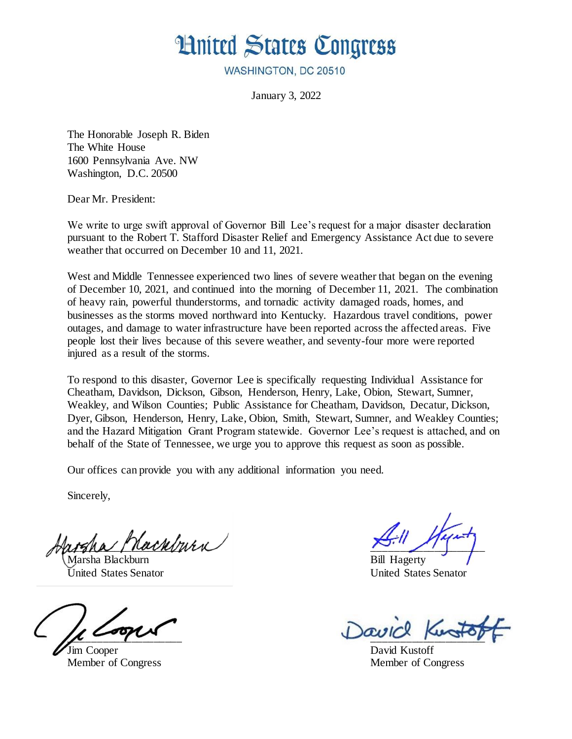## **Hnited States Congress**

WASHINGTON, DC 20510

January 3, 2022

The Honorable Joseph R. Biden The White House 1600 Pennsylvania Ave. NW Washington, D.C. 20500

Dear Mr. President:

We write to urge swift approval of Governor Bill Lee's request for a major disaster declaration pursuant to the Robert T. Stafford Disaster Relief and Emergency Assistance Act due to severe weather that occurred on December 10 and 11, 2021.

West and Middle Tennessee experienced two lines of severe weather that began on the evening of December 10, 2021, and continued into the morning of December 11, 2021. The combination of heavy rain, powerful thunderstorms, and tornadic activity damaged roads, homes, and businesses as the storms moved northward into Kentucky. Hazardous travel conditions, power outages, and damage to water infrastructure have been reported across the affected areas. Five people lost their lives because of this severe weather, and seventy-four more were reported injured as a result of the storms.

To respond to this disaster, Governor Lee is specifically requesting Individual Assistance for Cheatham, Davidson, Dickson, Gibson, Henderson, Henry, Lake, Obion, Stewart, Sumner, Weakley, and Wilson Counties; Public Assistance for Cheatham, Davidson, Decatur, Dickson, Dyer, Gibson, Henderson, Henry, Lake, Obion, Smith, Stewart, Sumner, and Weakley Counties; and the Hazard Mitigation Grant Program statewide. Governor Lee's request is attached, and on behalf of the State of Tennessee, we urge you to approve this request as soon as possible.

Our offices can provide you with any additional information you need.

Sincerely,

\_\_\_\_\_\_\_\_\_\_\_\_\_\_\_\_\_\_\_\_ \_\_\_\_\_\_\_\_\_\_\_\_\_\_\_\_\_\_\_\_ Marsha Blackburn Bill Hagerty

Jim Cooper David Kustoff

United States Senator United States Senator

 $\mu$  and the paper

Member of Congress Member of Congress